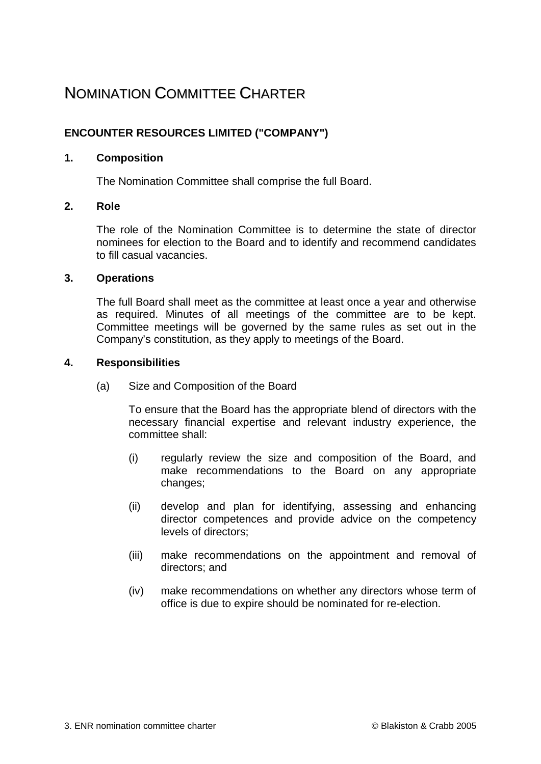# NOMINATION COMMITTEE CHARTER

# **ENCOUNTER RESOURCES LIMITED ("COMPANY")**

## **1. Composition**

The Nomination Committee shall comprise the full Board.

## **2. Role**

The role of the Nomination Committee is to determine the state of director nominees for election to the Board and to identify and recommend candidates to fill casual vacancies.

#### **3. Operations**

The full Board shall meet as the committee at least once a year and otherwise as required. Minutes of all meetings of the committee are to be kept. Committee meetings will be governed by the same rules as set out in the Company's constitution, as they apply to meetings of the Board.

#### **4. Responsibilities**

(a) Size and Composition of the Board

To ensure that the Board has the appropriate blend of directors with the necessary financial expertise and relevant industry experience, the committee shall:

- (i) regularly review the size and composition of the Board, and make recommendations to the Board on any appropriate changes;
- (ii) develop and plan for identifying, assessing and enhancing director competences and provide advice on the competency levels of directors;
- (iii) make recommendations on the appointment and removal of directors; and
- (iv) make recommendations on whether any directors whose term of office is due to expire should be nominated for re-election.